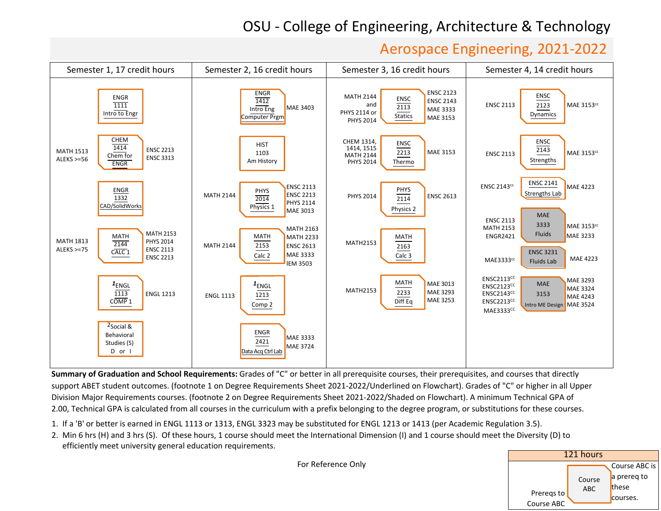## OSU ‐ College of Engineering, Architecture & Technology

## Aerospace Engineering, <sup>20</sup>21‐202<sup>2</sup>



**Summary of Graduation and School Requirements:** Grades of "C" or better in all prerequisite courses, their prerequisites, and courses that directly support ABET student outcomes. (footnote 1 on Degree Requirements Sheet 2021-2022/Underlined on Flowchart). Grades of "C" or higher in all UpperDivision Major Requirements courses. (footnote 2 on Degree Requirements Sheet 2021-2022/Shaded on Flowchart). A minimum Technical GPA of 2.00, Technical GPA is calculated from all courses in the curriculum with a prefix belonging to the degree program, or substitutions for these courses.

- 1. If <sup>a</sup> 'B' or better is earned in ENGL <sup>1113</sup> or 1313, ENGL <sup>3323</sup> may be substituted for ENGL <sup>1213</sup> or <sup>1413</sup> (per Academic Regulation 3.5).
- 2. Min <sup>6</sup> hrs (H) and <sup>3</sup> hrs (S). Of these hours, <sup>1</sup> course should meet the International Dimension (I) and <sup>1</sup> course should meet the Diversity (D) toefficiently meet university general education requirements.